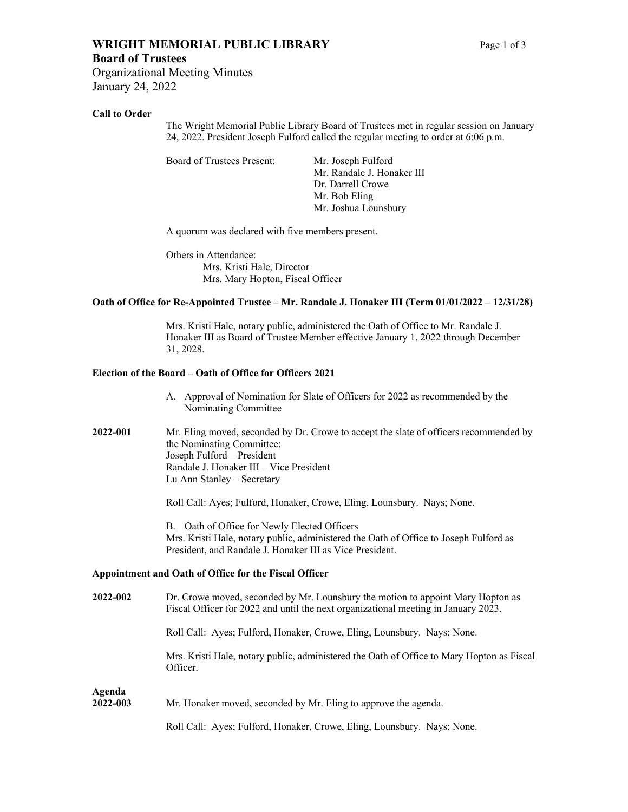## **WRIGHT MEMORIAL PUBLIC LIBRARY** Page 1 of 3

## **Board of Trustees**

Organizational Meeting Minutes January 24, 2022

## **Call to Order**

The Wright Memorial Public Library Board of Trustees met in regular session on January 24, 2022. President Joseph Fulford called the regular meeting to order at 6:06 p.m.

Board of Trustees Present: Mr. Joseph Fulford

Mr. Randale J. Honaker III Dr. Darrell Crowe Mr. Bob Eling Mr. Joshua Lounsbury

A quorum was declared with five members present.

Others in Attendance: Mrs. Kristi Hale, Director Mrs. Mary Hopton, Fiscal Officer

## **Oath of Office for Re-Appointed Trustee – Mr. Randale J. Honaker III (Term 01/01/2022 – 12/31/28)**

Mrs. Kristi Hale, notary public, administered the Oath of Office to Mr. Randale J. Honaker III as Board of Trustee Member effective January 1, 2022 through December 31, 2028.

## **Election of the Board – Oath of Office for Officers 2021**

- A. Approval of Nomination for Slate of Officers for 2022 as recommended by the Nominating Committee
- **2022-001** Mr. Eling moved, seconded by Dr. Crowe to accept the slate of officers recommended by the Nominating Committee: Joseph Fulford – President Randale J. Honaker III – Vice President Lu Ann Stanley – Secretary

Roll Call: Ayes; Fulford, Honaker, Crowe, Eling, Lounsbury. Nays; None.

B. Oath of Office for Newly Elected Officers Mrs. Kristi Hale, notary public, administered the Oath of Office to Joseph Fulford as President, and Randale J. Honaker III as Vice President.

## **Appointment and Oath of Office for the Fiscal Officer**

| 2022-002 | Dr. Crowe moved, seconded by Mr. Lounsbury the motion to appoint Mary Hopton as    |
|----------|------------------------------------------------------------------------------------|
|          | Fiscal Officer for 2022 and until the next organizational meeting in January 2023. |
|          |                                                                                    |

Roll Call: Ayes; Fulford, Honaker, Crowe, Eling, Lounsbury. Nays; None.

Mrs. Kristi Hale, notary public, administered the Oath of Office to Mary Hopton as Fiscal Officer.

# **Agenda**

## **2022-003** Mr. Honaker moved, seconded by Mr. Eling to approve the agenda.

Roll Call: Ayes; Fulford, Honaker, Crowe, Eling, Lounsbury. Nays; None.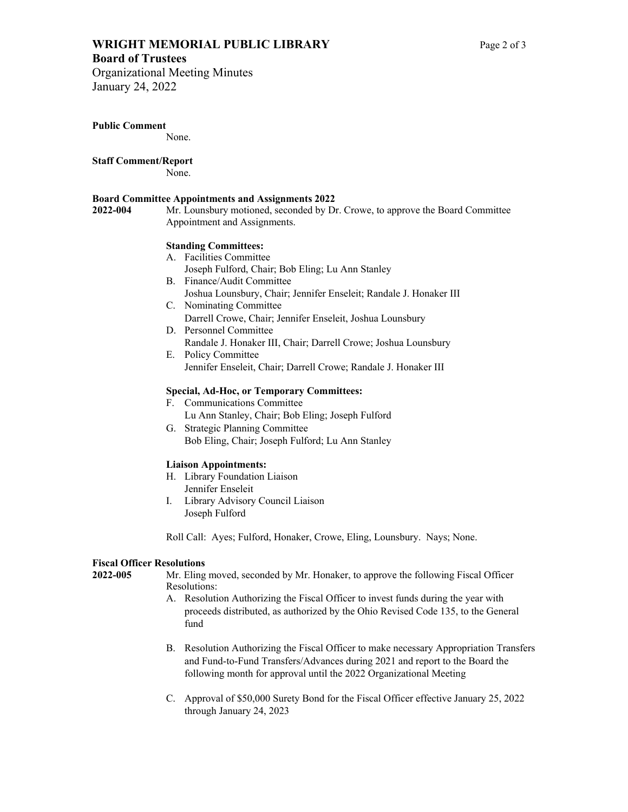## **WRIGHT MEMORIAL PUBLIC LIBRARY** Page 2 of 3

## **Board of Trustees**

Organizational Meeting Minutes January 24, 2022

**Public Comment** 

None.

## **Staff Comment/Report**

None.

## **Board Committee Appointments and Assignments 2022**

**2022-004** Mr. Lounsbury motioned, seconded by Dr. Crowe, to approve the Board Committee Appointment and Assignments.

## **Standing Committees:**

- A. Facilities Committee
- Joseph Fulford, Chair; Bob Eling; Lu Ann Stanley
- B. Finance/Audit Committee Joshua Lounsbury, Chair; Jennifer Enseleit; Randale J. Honaker III
- C. Nominating Committee Darrell Crowe, Chair; Jennifer Enseleit, Joshua Lounsbury
- D. Personnel Committee Randale J. Honaker III, Chair; Darrell Crowe; Joshua Lounsbury
- E. Policy Committee Jennifer Enseleit, Chair; Darrell Crowe; Randale J. Honaker III

## **Special, Ad-Hoc, or Temporary Committees:**

- F. Communications Committee Lu Ann Stanley, Chair; Bob Eling; Joseph Fulford
- G. Strategic Planning Committee Bob Eling, Chair; Joseph Fulford; Lu Ann Stanley

## **Liaison Appointments:**

- H. Library Foundation Liaison Jennifer Enseleit
- I. Library Advisory Council Liaison Joseph Fulford

Roll Call: Ayes; Fulford, Honaker, Crowe, Eling, Lounsbury. Nays; None.

## **Fiscal Officer Resolutions**

**2022-005** Mr. Eling moved, seconded by Mr. Honaker, to approve the following Fiscal Officer Resolutions:

- A. Resolution Authorizing the Fiscal Officer to invest funds during the year with proceeds distributed, as authorized by the Ohio Revised Code 135, to the General fund
- B. Resolution Authorizing the Fiscal Officer to make necessary Appropriation Transfers and Fund-to-Fund Transfers/Advances during 2021 and report to the Board the following month for approval until the 2022 Organizational Meeting
- C. Approval of \$50,000 Surety Bond for the Fiscal Officer effective January 25, 2022 through January 24, 2023